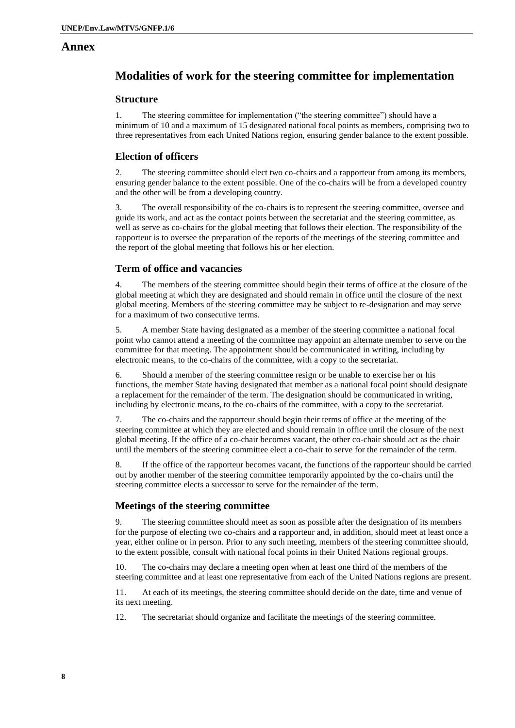### **Annex**

# **Modalities of work for the steering committee for implementation**

#### **Structure**

1. The steering committee for implementation ("the steering committee") should have a minimum of 10 and a maximum of 15 designated national focal points as members, comprising two to three representatives from each United Nations region, ensuring gender balance to the extent possible.

### **Election of officers**

2. The steering committee should elect two co-chairs and a rapporteur from among its members, ensuring gender balance to the extent possible. One of the co-chairs will be from a developed country and the other will be from a developing country.

3. The overall responsibility of the co-chairs is to represent the steering committee, oversee and guide its work, and act as the contact points between the secretariat and the steering committee, as well as serve as co-chairs for the global meeting that follows their election. The responsibility of the rapporteur is to oversee the preparation of the reports of the meetings of the steering committee and the report of the global meeting that follows his or her election.

#### **Term of office and vacancies**

4. The members of the steering committee should begin their terms of office at the closure of the global meeting at which they are designated and should remain in office until the closure of the next global meeting. Members of the steering committee may be subject to re-designation and may serve for a maximum of two consecutive terms.

5. A member State having designated as a member of the steering committee a national focal point who cannot attend a meeting of the committee may appoint an alternate member to serve on the committee for that meeting. The appointment should be communicated in writing, including by electronic means, to the co-chairs of the committee, with a copy to the secretariat.

6. Should a member of the steering committee resign or be unable to exercise her or his functions, the member State having designated that member as a national focal point should designate a replacement for the remainder of the term. The designation should be communicated in writing, including by electronic means, to the co-chairs of the committee, with a copy to the secretariat.

7. The co-chairs and the rapporteur should begin their terms of office at the meeting of the steering committee at which they are elected and should remain in office until the closure of the next global meeting. If the office of a co-chair becomes vacant, the other co-chair should act as the chair until the members of the steering committee elect a co-chair to serve for the remainder of the term.

8. If the office of the rapporteur becomes vacant, the functions of the rapporteur should be carried out by another member of the steering committee temporarily appointed by the co-chairs until the steering committee elects a successor to serve for the remainder of the term.

#### **Meetings of the steering committee**

9. The steering committee should meet as soon as possible after the designation of its members for the purpose of electing two co-chairs and a rapporteur and, in addition, should meet at least once a year, either online or in person. Prior to any such meeting, members of the steering committee should, to the extent possible, consult with national focal points in their United Nations regional groups.

10. The co-chairs may declare a meeting open when at least one third of the members of the steering committee and at least one representative from each of the United Nations regions are present.

11. At each of its meetings, the steering committee should decide on the date, time and venue of its next meeting.

12. The secretariat should organize and facilitate the meetings of the steering committee.